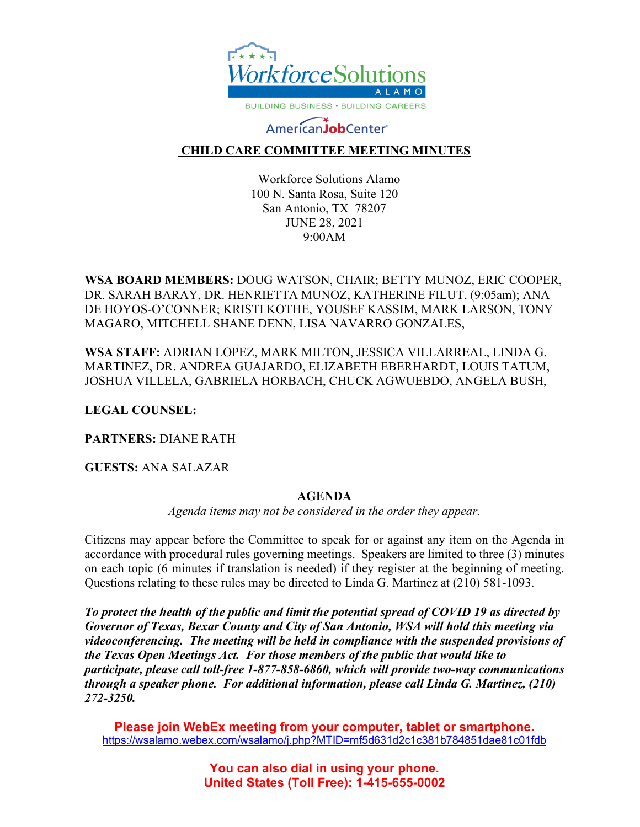

# AmericanJobCenter®

## **CHILD CARE COMMITTEE MEETING MINUTES**

Workforce Solutions Alamo 100 N. Santa Rosa, Suite 120 San Antonio, TX 78207 JUNE 28, 2021 9:00AM

**WSA BOARD MEMBERS:** DOUG WATSON, CHAIR; BETTY MUNOZ, ERIC COOPER, DR. SARAH BARAY, DR. HENRIETTA MUNOZ, KATHERINE FILUT, (9:05am); ANA DE HOYOS-O'CONNER; KRISTI KOTHE, YOUSEF KASSIM, MARK LARSON, TONY MAGARO, MITCHELL SHANE DENN, LISA NAVARRO GONZALES,

**WSA STAFF:** ADRIAN LOPEZ, MARK MILTON, JESSICA VILLARREAL, LINDA G. MARTINEZ, DR. ANDREA GUAJARDO, ELIZABETH EBERHARDT, LOUIS TATUM, JOSHUA VILLELA, GABRIELA HORBACH, CHUCK AGWUEBDO, ANGELA BUSH,

**LEGAL COUNSEL:** 

**PARTNERS:** DIANE RATH

**GUESTS:** ANA SALAZAR

### **AGENDA**

*Agenda items may not be considered in the order they appear.*

Citizens may appear before the Committee to speak for or against any item on the Agenda in accordance with procedural rules governing meetings. Speakers are limited to three (3) minutes on each topic (6 minutes if translation is needed) if they register at the beginning of meeting. Questions relating to these rules may be directed to Linda G. Martinez at (210) 581-1093.

*To protect the health of the public and limit the potential spread of COVID 19 as directed by Governor of Texas, Bexar County and City of San Antonio, WSA will hold this meeting via videoconferencing. The meeting will be held in compliance with the suspended provisions of the Texas Open Meetings Act. For those members of the public that would like to participate, please call toll-free 1-877-858-6860, which will provide two-way communications through a speaker phone. For additional information, please call Linda G. Martinez, (210) 272-3250.* 

**Please join WebEx meeting from your computer, tablet or smartphone.**  <https://wsalamo.webex.com/wsalamo/j.php?MTID=mf5d631d2c1c381b784851dae81c01fdb>

> **You can also dial in using your phone. United States (Toll Free): 1-415-655-0002**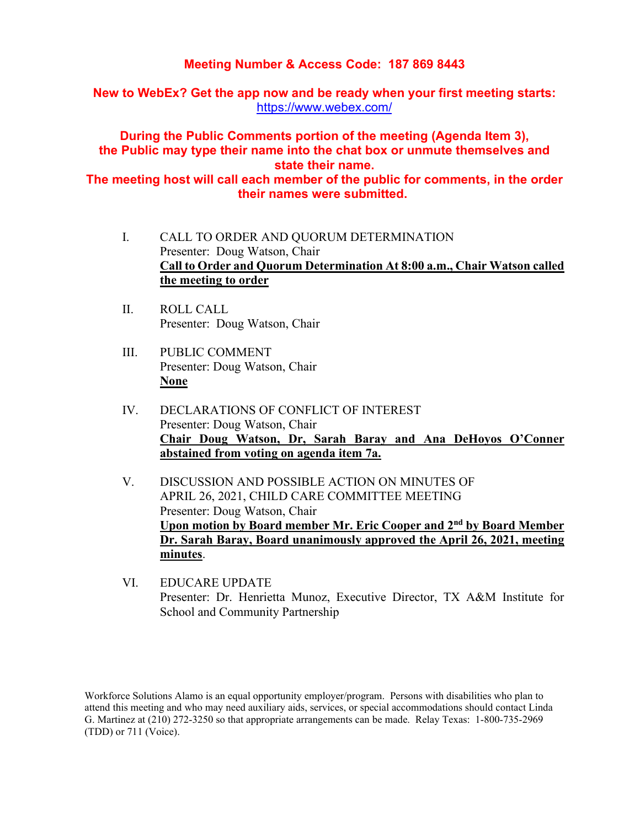### **Meeting Number & Access Code: 187 869 8443**

**New to WebEx? Get the app now and be ready when your first meeting starts:**  <https://www.webex.com/>

**During the Public Comments portion of the meeting (Agenda Item 3), the Public may type their name into the chat box or unmute themselves and state their name.**

**The meeting host will call each member of the public for comments, in the order their names were submitted.**

- I. CALL TO ORDER AND QUORUM DETERMINATION Presenter: Doug Watson, Chair **Call to Order and Quorum Determination At 8:00 a.m., Chair Watson called the meeting to order**
- II. ROLL CALL Presenter: Doug Watson, Chair
- III. PUBLIC COMMENT Presenter: Doug Watson, Chair **None**
- IV. DECLARATIONS OF CONFLICT OF INTEREST Presenter: Doug Watson, Chair **Chair Doug Watson, Dr, Sarah Baray and Ana DeHoyos O'Conner abstained from voting on agenda item 7a.**
- V. DISCUSSION AND POSSIBLE ACTION ON MINUTES OF APRIL 26, 2021, CHILD CARE COMMITTEE MEETING Presenter: Doug Watson, Chair **Upon motion by Board member Mr. Eric Cooper and 2nd by Board Member Dr. Sarah Baray, Board unanimously approved the April 26, 2021, meeting minutes**.
- VI. EDUCARE UPDATE Presenter: Dr. Henrietta Munoz, Executive Director, TX A&M Institute for School and Community Partnership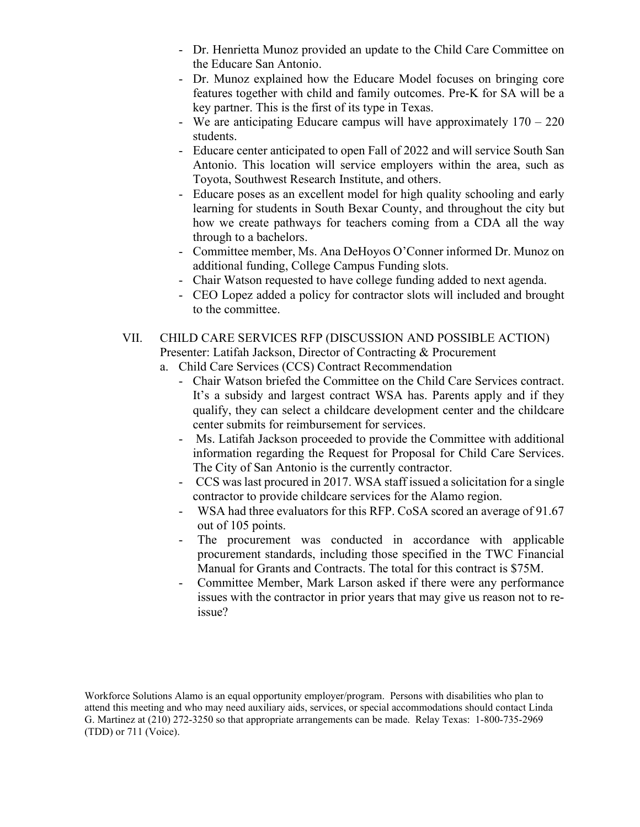- Dr. Henrietta Munoz provided an update to the Child Care Committee on the Educare San Antonio.
- Dr. Munoz explained how the Educare Model focuses on bringing core features together with child and family outcomes. Pre-K for SA will be a key partner. This is the first of its type in Texas.
- We are anticipating Educare campus will have approximately  $170 220$ students.
- Educare center anticipated to open Fall of 2022 and will service South San Antonio. This location will service employers within the area, such as Toyota, Southwest Research Institute, and others.
- Educare poses as an excellent model for high quality schooling and early learning for students in South Bexar County, and throughout the city but how we create pathways for teachers coming from a CDA all the way through to a bachelors.
- Committee member, Ms. Ana DeHoyos O'Conner informed Dr. Munoz on additional funding, College Campus Funding slots.
- Chair Watson requested to have college funding added to next agenda.
- CEO Lopez added a policy for contractor slots will included and brought to the committee.
- VII. CHILD CARE SERVICES RFP (DISCUSSION AND POSSIBLE ACTION) Presenter: Latifah Jackson, Director of Contracting & Procurement
	- a. Child Care Services (CCS) Contract Recommendation
		- Chair Watson briefed the Committee on the Child Care Services contract. It's a subsidy and largest contract WSA has. Parents apply and if they qualify, they can select a childcare development center and the childcare center submits for reimbursement for services.
		- Ms. Latifah Jackson proceeded to provide the Committee with additional information regarding the Request for Proposal for Child Care Services. The City of San Antonio is the currently contractor.
		- CCS was last procured in 2017. WSA staff issued a solicitation for a single contractor to provide childcare services for the Alamo region.
		- WSA had three evaluators for this RFP. CoSA scored an average of 91.67 out of 105 points.
		- The procurement was conducted in accordance with applicable procurement standards, including those specified in the TWC Financial Manual for Grants and Contracts. The total for this contract is \$75M.
		- Committee Member, Mark Larson asked if there were any performance issues with the contractor in prior years that may give us reason not to reissue?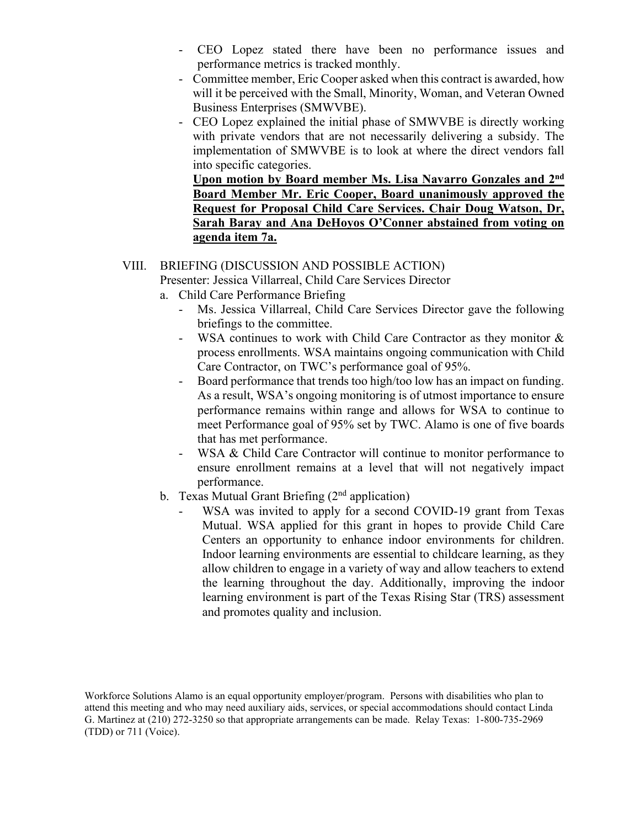- CEO Lopez stated there have been no performance issues and performance metrics is tracked monthly.
- Committee member, Eric Cooper asked when this contract is awarded, how will it be perceived with the Small, Minority, Woman, and Veteran Owned Business Enterprises (SMWVBE).
- CEO Lopez explained the initial phase of SMWVBE is directly working with private vendors that are not necessarily delivering a subsidy. The implementation of SMWVBE is to look at where the direct vendors fall into specific categories.

**Upon motion by Board member Ms. Lisa Navarro Gonzales and 2nd Board Member Mr. Eric Cooper, Board unanimously approved the Request for Proposal Child Care Services. Chair Doug Watson, Dr, Sarah Baray and Ana DeHoyos O'Conner abstained from voting on agenda item 7a.**

#### VIII. BRIEFING (DISCUSSION AND POSSIBLE ACTION)

Presenter: Jessica Villarreal, Child Care Services Director

- a. Child Care Performance Briefing
	- Ms. Jessica Villarreal, Child Care Services Director gave the following briefings to the committee.
	- WSA continues to work with Child Care Contractor as they monitor & process enrollments. WSA maintains ongoing communication with Child Care Contractor, on TWC's performance goal of 95%.
	- Board performance that trends too high/too low has an impact on funding. As a result, WSA's ongoing monitoring is of utmost importance to ensure performance remains within range and allows for WSA to continue to meet Performance goal of 95% set by TWC. Alamo is one of five boards that has met performance.
	- WSA & Child Care Contractor will continue to monitor performance to ensure enrollment remains at a level that will not negatively impact performance.
- b. Texas Mutual Grant Briefing  $(2<sup>nd</sup>$  application)
	- WSA was invited to apply for a second COVID-19 grant from Texas Mutual. WSA applied for this grant in hopes to provide Child Care Centers an opportunity to enhance indoor environments for children. Indoor learning environments are essential to childcare learning, as they allow children to engage in a variety of way and allow teachers to extend the learning throughout the day. Additionally, improving the indoor learning environment is part of the Texas Rising Star (TRS) assessment and promotes quality and inclusion.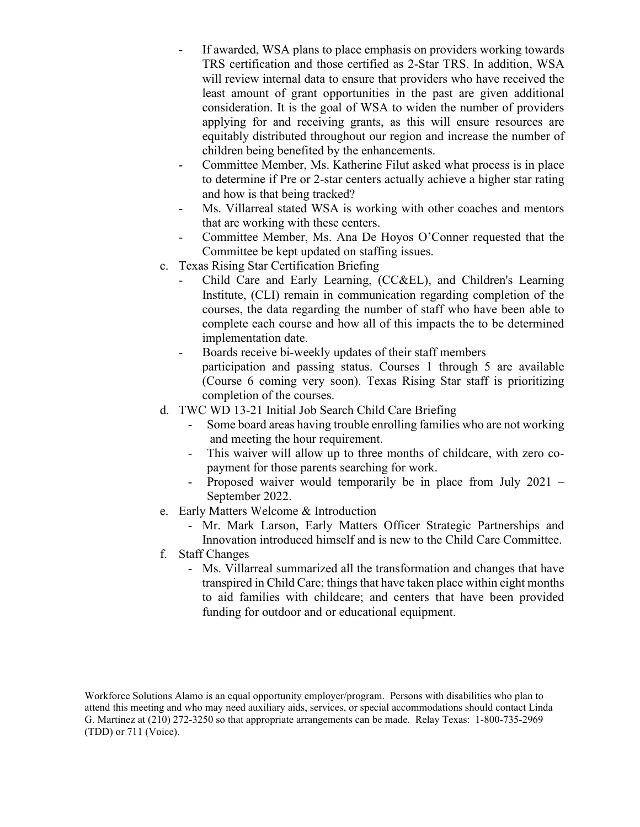- If awarded, WSA plans to place emphasis on providers working towards TRS certification and those certified as 2-Star TRS. In addition, WSA will review internal data to ensure that providers who have received the least amount of grant opportunities in the past are given additional consideration. It is the goal of WSA to widen the number of providers applying for and receiving grants, as this will ensure resources are equitably distributed throughout our region and increase the number of children being benefited by the enhancements.
- Committee Member, Ms. Katherine Filut asked what process is in place to determine if Pre or 2-star centers actually achieve a higher star rating and how is that being tracked?
- Ms. Villarreal stated WSA is working with other coaches and mentors that are working with these centers.
- Committee Member, Ms. Ana De Hoyos O'Conner requested that the Committee be kept updated on staffing issues.
- c. Texas Rising Star Certification Briefing
	- Child Care and Early Learning, (CC&EL), and Children's Learning Institute, (CLI) remain in communication regarding completion of the courses, the data regarding the number of staff who have been able to complete each course and how all of this impacts the to be determined implementation date.
	- Boards receive bi-weekly updates of their staff members participation and passing status. Courses 1 through 5 are available (Course 6 coming very soon). Texas Rising Star staff is prioritizing completion of the courses.
- d. TWC WD 13-21 Initial Job Search Child Care Briefing
	- Some board areas having trouble enrolling families who are not working and meeting the hour requirement.
	- This waiver will allow up to three months of childcare, with zero copayment for those parents searching for work.
	- Proposed waiver would temporarily be in place from July 2021 September 2022.
- e. Early Matters Welcome & Introduction
	- Mr. Mark Larson, Early Matters Officer Strategic Partnerships and Innovation introduced himself and is new to the Child Care Committee.
- f. Staff Changes
	- Ms. Villarreal summarized all the transformation and changes that have transpired in Child Care; things that have taken place within eight months to aid families with childcare; and centers that have been provided funding for outdoor and or educational equipment.